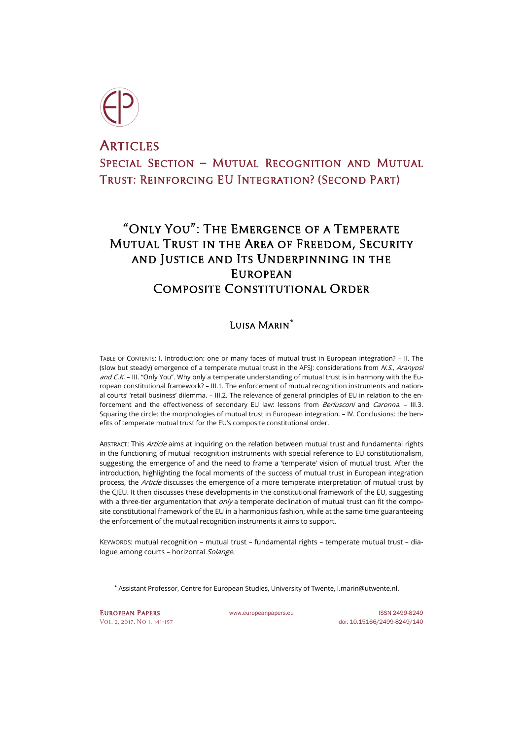

# **ARTICLES** SPECIAL SECTION - MUTUAL RECOGNITION AND MUTUAL Trust: Reinforcing EU Integration? (Second Part)

# "Only You": The Emergence of a Temperate Mutual Trust in the Area of Freedom, Security and Justice and Its Underpinning in the **EUROPEAN** COMPOSITE CONSTITUTIONAL ORDER

# Luisa Marin**[\\*](#page-0-0)**

TABLE OF CONTENTS: I. Introduction: one or many faces of mutual trust in European integration? – II. The (slow but steady) emergence of a temperate mutual trust in the AFSI: considerations from N.S., Aranyosi and C.K. – III. "Only You". Why only a temperate understanding of mutual trust is in harmony with the European constitutional framework? – III.1. The enforcement of mutual recognition instruments and national courts' 'retail business' dilemma. – III.2. The relevance of general principles of EU in relation to the enforcement and the effectiveness of secondary EU law: lessons from *Berlusconi* and *Caronna.* - III.3. Squaring the circle: the morphologies of mutual trust in European integration. – IV. Conclusions: the benefits of temperate mutual trust for the EU's composite constitutional order.

ABSTRACT: This Article aims at inquiring on the relation between mutual trust and fundamental rights in the functioning of mutual recognition instruments with special reference to EU constitutionalism, suggesting the emergence of and the need to frame a 'temperate' vision of mutual trust. After the introduction, highlighting the focal moments of the success of mutual trust in European integration process, the Article discusses the emergence of a more temperate interpretation of mutual trust by the CJEU. It then discusses these developments in the constitutional framework of the EU, suggesting with a three-tier argumentation that  $\frac{on}{y}$  a temperate declination of mutual trust can fit the composite constitutional framework of the EU in a harmonious fashion, while at the same time guaranteeing the enforcement of the mutual recognition instruments it aims to support.

KEYWORDS: mutual recognition – mutual trust – fundamental rights – temperate mutual trust – dialogue among courts - horizontal Solange.

\* Assistant Professor, Centre for European Studies, University of Twente[, l.marin@utwente.nl.](mailto:l.marin@utwente.nl)

<span id="page-0-0"></span>EUROPEAN PAPERS WWW.europeanpapers.eu ISSN 2499-8249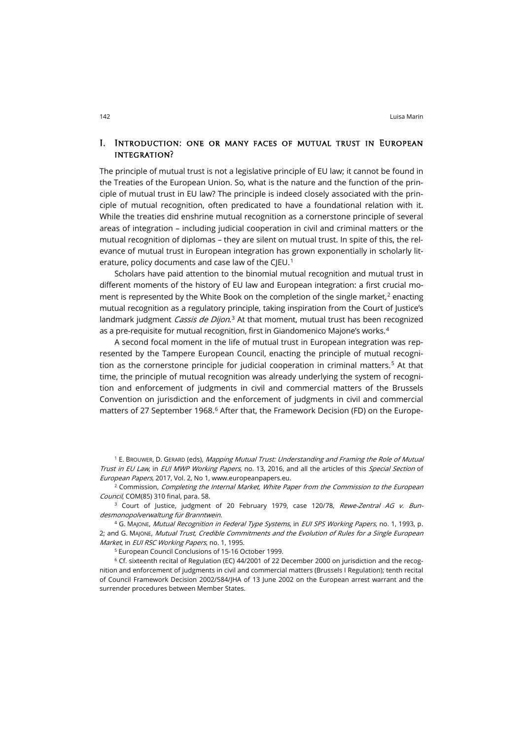#### I. Introduction: one or many faces of mutual trust in European integration?

The principle of mutual trust is not a legislative principle of EU law; it cannot be found in the Treaties of the European Union. So, what is the nature and the function of the principle of mutual trust in EU law? The principle is indeed closely associated with the principle of mutual recognition, often predicated to have a foundational relation with it. While the treaties did enshrine mutual recognition as a cornerstone principle of several areas of integration – including judicial cooperation in civil and criminal matters or the mutual recognition of diplomas – they are silent on mutual trust. In spite of this, the relevance of mutual trust in European integration has grown exponentially in scholarly lit-erature, policy documents and case law of the CIEU.<sup>[1](#page-1-0)</sup>

Scholars have paid attention to the binomial mutual recognition and mutual trust in different moments of the history of EU law and European integration: a first crucial moment is represented by the White Book on the completion of the single market, $2$  enacting mutual recognition as a regulatory principle, taking inspiration from the Court of Justice's landmark judgment *Cassis de Dijon*.<sup>[3](#page-1-2)</sup> At that moment, mutual trust has been recognized as a pre-requisite for mutual recognition, first in Giandomenico Majone's works.<sup>[4](#page-1-3)</sup>

A second focal moment in the life of mutual trust in European integration was represented by the Tampere European Council, enacting the principle of mutual recogni-tion as the cornerstone principle for judicial cooperation in criminal matters.<sup>[5](#page-1-4)</sup> At that time, the principle of mutual recognition was already underlying the system of recognition and enforcement of judgments in civil and commercial matters of the Brussels Convention on jurisdiction and the enforcement of judgments in civil and commercial matters of 27 September 19[6](#page-1-5)8.<sup>6</sup> After that, the Framework Decision (FD) on the Europe-

<span id="page-1-0"></span><sup>1</sup> E. BROUWER, D. GERARD (eds), Mapping Mutual Trust: Understanding and Framing the Role of Mutual Trust in EU Law, in EUI MWP Working Papers, no. 13, 2016, and all the articles of this Special Section of European Papers, 2017, Vol. 2, No 1[, www.europeanpapers.eu.](http://www.europeanpapers.eu/en/content/e-journal/EP_eJ_2017_1)

<span id="page-1-1"></span> $2$  Commission, Completing the Internal Market, White Paper from the Commission to the European Council, COM(85) 310 final, para. 58.

<span id="page-1-2"></span><sup>3</sup> Court of Justice, judgment of 20 February 1979, case 120/78, Rewe-Zentral AG v. Bundesmonopolverwaltung für Branntwein.

<span id="page-1-3"></span><sup>4</sup> G. MAJONE, Mutual Recognition in Federal Type Systems, in EUI SPS Working Papers, no. 1, 1993, p. 2; and G. Majone, Mutual Trust, Credible Commitments and the Evolution of Rules for a Single European Market, in EUI RSC Working Papers, no. 1, 1995.

<sup>5</sup> European Council Conclusions of 15-16 October 1999.

<span id="page-1-5"></span><span id="page-1-4"></span><sup>6</sup> Cf. sixteenth recital of Regulation (EC) 44/2001 of 22 December 2000 on jurisdiction and the recognition and enforcement of judgments in civil and commercial matters (Brussels I Regulation); tenth recital of Council Framework Decision 2002/584/JHA of 13 June 2002 on the European arrest warrant and the surrender procedures between Member States.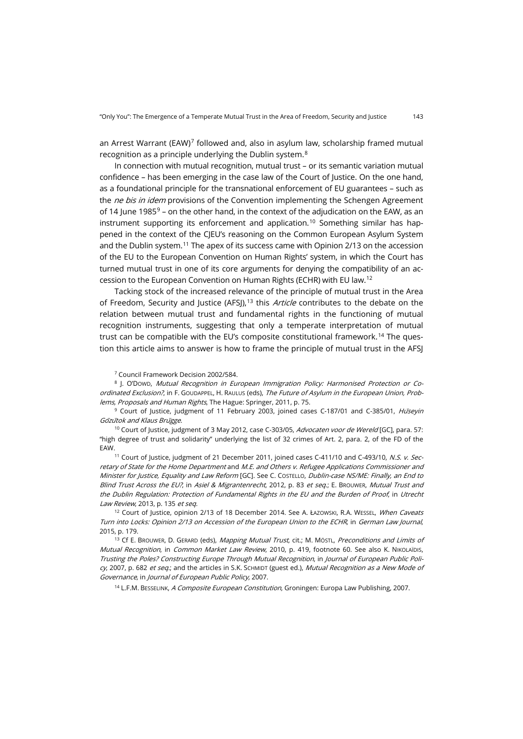an Arrest Warrant (EAW)<sup>[7](#page-2-0)</sup> followed and, also in asylum law, scholarship framed mutual recognition as a principle underlying the Dublin system.[8](#page-2-1)

In connection with mutual recognition, mutual trust – or its semantic variation mutual confidence – has been emerging in the case law of the Court of Justice. On the one hand, as a foundational principle for the transnational enforcement of EU guarantees – such as the *ne bis in idem* provisions of the Convention implementing the Schengen Agreement of 14 June 1[9](#page-2-2)85 $9$  – on the other hand, in the context of the adjudication on the EAW, as an instrument supporting its enforcement and application.<sup>[10](#page-2-3)</sup> Something similar has happened in the context of the CJEU's reasoning on the Common European Asylum System and the Dublin system.[11](#page-2-4) The apex of its success came with Opinion 2/13 on the accession of the EU to the European Convention on Human Rights' system, in which the Court has turned mutual trust in one of its core arguments for denying the compatibility of an accession to the European Convention on Human Rights (ECHR) with EU law.[12](#page-2-5)

Tacking stock of the increased relevance of the principle of mutual trust in the Area of Freedom, Security and Justice (AFSJ),<sup>[13](#page-2-6)</sup> this *Article* contributes to the debate on the relation between mutual trust and fundamental rights in the functioning of mutual recognition instruments, suggesting that only a temperate interpretation of mutual trust can be compatible with the EU's composite constitutional framework.<sup>[14](#page-2-7)</sup> The question this article aims to answer is how to frame the principle of mutual trust in the AFSI

<sup>7</sup> Council Framework Decision 2002/584.

<span id="page-2-1"></span><span id="page-2-0"></span><sup>8</sup> J. O'DOWD, Mutual Recognition in European Immigration Policy: Harmonised Protection or Coordinated Exclusion?, in F. GOUDAPPEL, H. RAULUS (eds), The Future of Asylum in the European Union, Problems, Proposals and Human Rights, The Hague: Springer, 2011, p. 75.

<span id="page-2-2"></span><sup>9</sup> Court of Justice, judgment of 11 February 2003, joined cases C-187/01 and C-385/01, Hu*̈*seyin Go*̈*zu*̈*tok and Klaus Bru*̈*gge.

<span id="page-2-3"></span><sup>10</sup> Court of Justice, judgment of 3 May 2012, case C-303/05, Advocaten voor de Wereld [GC], para. 57: "high degree of trust and solidarity" underlying the list of 32 crimes of Art. 2, para. 2, of the FD of the EAW.

<span id="page-2-4"></span><sup>11</sup> Court of Justice, judgment of 21 December 2011, joined cases C-411/10 and C-493/10, N.S. v. Secretary of State for the Home Department and M.E. and Others v. Refugee Applications Commissioner and Minister for Justice, Equality and Law Reform [GC]. See C. COSTELLO, Dublin-case NS/ME: Finally, an End to Blind Trust Across the EU?, in Asiel & Migrantenrecht, 2012, p. 83 et seq.; E. BROUWER, Mutual Trust and the Dublin Regulation: Protection of Fundamental Rights in the EU and the Burden of Proof, in Utrecht Law Review, 2013, p. 135 et seq.

<span id="page-2-5"></span><sup>12</sup> Court of Justice, opinion 2/13 of 18 December 2014. See A. ŁAZOWSKI, R.A. WESSEL, When Caveats Turn into Locks: Opinion 2/13 on Accession of the European Union to the ECHR, in German Law Journal, 2015, p. 179.

<span id="page-2-7"></span><span id="page-2-6"></span><sup>13</sup> Cf E. BROUWER, D. GERARD (eds), Mapping Mutual Trust, cit.; M. MÖSTL, Preconditions and Limits of Mutual Recognition, in Common Market Law Review, 2010, p. 419, footnote 60. See also K. NIKOLAÏDIS, Trusting the Poles? Constructing Europe Through Mutual Recognition, in Journal of European Public Poli-CV, 2007, p. 682 et seq.; and the articles in S.K. SCHMIDT (guest ed.), Mutual Recognition as a New Mode of Governance, in Journal of European Public Policy, 2007.

<sup>14</sup> L.F.M. BESSELINK, A Composite European Constitution, Groningen: Europa Law Publishing, 2007.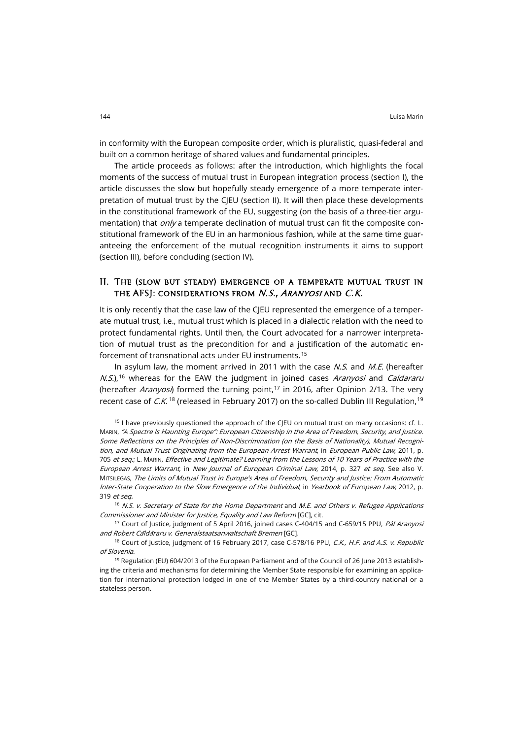in conformity with the European composite order, which is pluralistic, quasi-federal and built on a common heritage of shared values and fundamental principles.

The article proceeds as follows: after the introduction, which highlights the focal moments of the success of mutual trust in European integration process (section I), the article discusses the slow but hopefully steady emergence of a more temperate interpretation of mutual trust by the CJEU (section II). It will then place these developments in the constitutional framework of the EU, suggesting (on the basis of a three-tier argumentation) that *only* a temperate declination of mutual trust can fit the composite constitutional framework of the EU in an harmonious fashion, while at the same time guaranteeing the enforcement of the mutual recognition instruments it aims to support (section III), before concluding (section IV).

#### II. The (slow but steady) emergence of a temperate mutual trust in THE AFSJ: CONSIDERATIONS FROM N.S., ARANYOSI AND C.K.

It is only recently that the case law of the CJEU represented the emergence of a temperate mutual trust, i.e., mutual trust which is placed in a dialectic relation with the need to protect fundamental rights. Until then, the Court advocated for a narrower interpretation of mutual trust as the precondition for and a justification of the automatic enforcement of transnational acts under EU instruments.[15](#page-3-0)

In asylum law, the moment arrived in 2011 with the case  $N.S.$  and  $M.E.$  (hereafter  $N.S$ ,<sup>[16](#page-3-1)</sup> whereas for the EAW the judgment in joined cases *Aranyosi* and *Caldararu* (hereafter Aranyosi) formed the turning point,<sup>[17](#page-3-2)</sup> in 2016, after Opinion 2/13. The very recent case of C.K.<sup>[18](#page-3-3)</sup> (released in February 2017) on the so-called Dublin III Regulation.<sup>[19](#page-3-4)</sup>

<span id="page-3-0"></span> $15$  I have previously questioned the approach of the CJEU on mutual trust on many occasions: cf. L. MARIN, "A Spectre Is Haunting Europe": European Citizenship in the Area of Freedom, Security, and Justice. Some Reflections on the Principles of Non-Discrimination (on the Basis of Nationality), Mutual Recognition, and Mutual Trust Originating from the European Arrest Warrant, in European Public Law, 2011, p. 705 et seq.; L. MARIN, Effective and Legitimate? Learning from the Lessons of 10 Years of Practice with the European Arrest Warrant, in New Journal of European Criminal Law, 2014, p. 327 et seq. See also V. MITSILEGAS, The Limits of Mutual Trust in Europe's Area of Freedom, Security and Justice: From Automatic Inter-State Cooperation to the Slow Emergence of the Individual, in Yearbook of European Law, 2012, p. 319 et seq.

<span id="page-3-1"></span> $16$  N.S. v. Secretary of State for the Home Department and M.E. and Others v. Refugee Applications Commissioner and Minister for Justice, Equality and Law Reform [GC], cit.

<span id="page-3-2"></span><sup>17</sup> Court of Justice, judgment of 5 April 2016, joined cases C-404/15 and C-659/15 PPU, *Pál Aranyosi* and Robert Ca*̆*lda*̆*raru v. Generalstaatsanwaltschaft Bremen [GC].

<span id="page-3-3"></span><sup>18</sup> Court of Justice, judgment of 16 February 2017, case C-578/16 PPU, C.K., H.F. and A.S. v. Republic of Slovenia.

<span id="page-3-4"></span><sup>19</sup> Regulation (EU) 604/2013 of the European Parliament and of the Council of 26 June 2013 establishing the criteria and mechanisms for determining the Member State responsible for examining an application for international protection lodged in one of the Member States by a third-country national or a stateless person.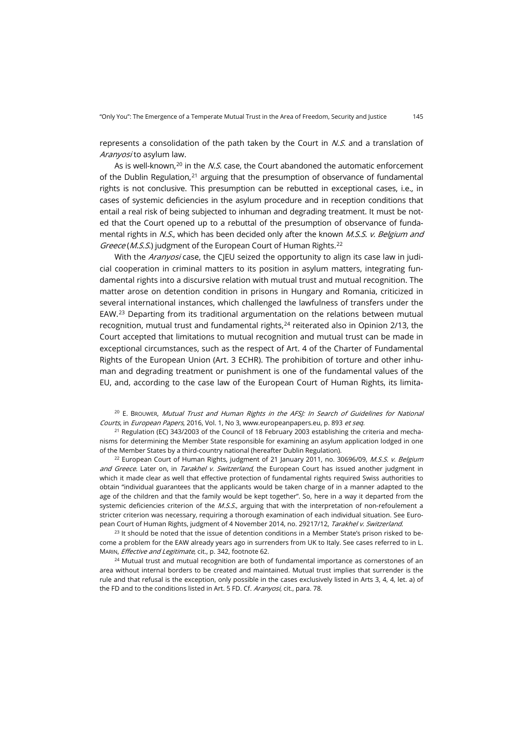represents a consolidation of the path taken by the Court in  $N.S.$  and a translation of Aranyosi to asylum law.

As is well-known, $20$  in the *N.S.* case, the Court abandoned the automatic enforcement of the Dublin Regulation, $21$  arguing that the presumption of observance of fundamental rights is not conclusive. This presumption can be rebutted in exceptional cases, i.e., in cases of systemic deficiencies in the asylum procedure and in reception conditions that entail a real risk of being subjected to inhuman and degrading treatment. It must be noted that the Court opened up to a rebuttal of the presumption of observance of fundamental rights in N.S., which has been decided only after the known M.S.S. v. Belgium and Greece (M.S.S.) judgment of the European Court of Human Rights.<sup>[22](#page-4-2)</sup>

With the Aranyosi case, the CJEU seized the opportunity to align its case law in judicial cooperation in criminal matters to its position in asylum matters, integrating fundamental rights into a discursive relation with mutual trust and mutual recognition. The matter arose on detention condition in prisons in Hungary and Romania, criticized in several international instances, which challenged the lawfulness of transfers under the EAW.[23](#page-4-3) Departing from its traditional argumentation on the relations between mutual recognition, mutual trust and fundamental rights, $24$  reiterated also in Opinion 2/13, the Court accepted that limitations to mutual recognition and mutual trust can be made in exceptional circumstances, such as the respect of Art. 4 of the Charter of Fundamental Rights of the European Union (Art. 3 ECHR). The prohibition of torture and other inhuman and degrading treatment or punishment is one of the fundamental values of the EU, and, according to the case law of the European Court of Human Rights, its limita-

<span id="page-4-0"></span> $20$  E. BROUWER, Mutual Trust and Human Rights in the AFSJ: In Search of Guidelines for National Courts, in European Papers, 2016, Vol. 1, No 3, [www.europeanpapers.eu,](http://www.europeanpapers.eu/en/e-journal/mutual-trust-and-human-rights-in-the-afsj-in-search-of-guidelines-for-national-courts) p. 893 et seq.

<span id="page-4-1"></span> $21$  Regulation (EC) 343/2003 of the Council of 18 February 2003 establishing the criteria and mechanisms for determining the Member State responsible for examining an asylum application lodged in one of the Member States by a third-country national (hereafter Dublin Regulation).

<span id="page-4-2"></span> $22$  European Court of Human Rights, judgment of 21 January 2011, no. 30696/09, M.S.S. v. Belgium and Greece. Later on, in Tarakhel v. Switzerland, the European Court has issued another judgment in which it made clear as well that effective protection of fundamental rights required Swiss authorities to obtain "individual guarantees that the applicants would be taken charge of in a manner adapted to the age of the children and that the family would be kept together". So, here in a way it departed from the systemic deficiencies criterion of the M.S.S., arguing that with the interpretation of non-refoulement a stricter criterion was necessary, requiring a thorough examination of each individual situation. See European Court of Human Rights, judgment of 4 November 2014, no. 29217/12, Tarakhel v. Switzerland.

<span id="page-4-3"></span><sup>23</sup> It should be noted that the issue of detention conditions in a Member State's prison risked to become a problem for the EAW already years ago in surrenders from UK to Italy. See cases referred to in L. MARIN, Effective and Legitimate, cit., p. 342, footnote 62.

<span id="page-4-4"></span><sup>24</sup> Mutual trust and mutual recognition are both of fundamental importance as cornerstones of an area without internal borders to be created and maintained. Mutual trust implies that surrender is the rule and that refusal is the exception, only possible in the cases exclusively listed in Arts 3, 4, 4, let. a) of the FD and to the conditions listed in Art. 5 FD. Cf. Aranyosi, cit., para. 78.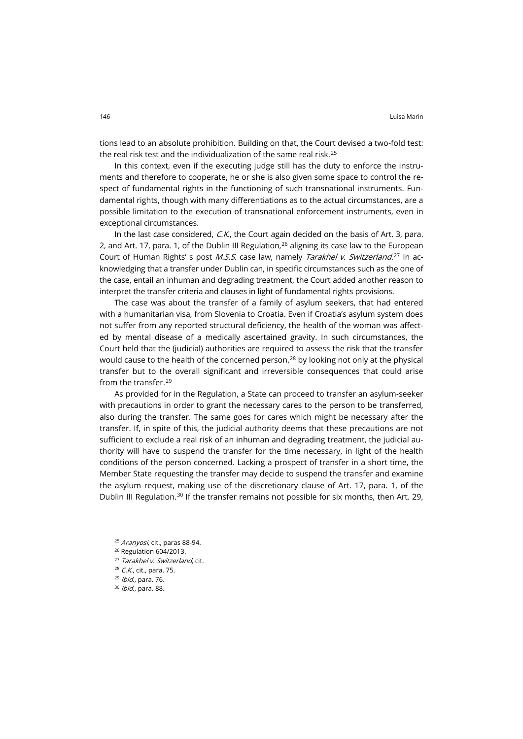In this context, even if the executing judge still has the duty to enforce the instruments and therefore to cooperate, he or she is also given some space to control the respect of fundamental rights in the functioning of such transnational instruments. Fundamental rights, though with many differentiations as to the actual circumstances, are a possible limitation to the execution of transnational enforcement instruments, even in exceptional circumstances.

In the last case considered,  $C.K.$ , the Court again decided on the basis of Art. 3, para. 2, and Art. 17, para. 1, of the Dublin III Regulation,  $^{26}$  $^{26}$  $^{26}$  aligning its case law to the European Court of Human Rights' s post *M.S.S.* case law, namely *Tarakhel v. Switzerland*.<sup>[27](#page-5-2)</sup> In acknowledging that a transfer under Dublin can, in specific circumstances such as the one of the case, entail an inhuman and degrading treatment, the Court added another reason to interpret the transfer criteria and clauses in light of fundamental rights provisions.

The case was about the transfer of a family of asylum seekers, that had entered with a humanitarian visa, from Slovenia to Croatia. Even if Croatia's asylum system does not suffer from any reported structural deficiency, the health of the woman was affected by mental disease of a medically ascertained gravity. In such circumstances, the Court held that the (judicial) authorities are required to assess the risk that the transfer would cause to the health of the concerned person, $^{28}$  $^{28}$  $^{28}$  by looking not only at the physical transfer but to the overall significant and irreversible consequences that could arise from the transfer.[29](#page-5-4)

As provided for in the Regulation, a State can proceed to transfer an asylum-seeker with precautions in order to grant the necessary cares to the person to be transferred, also during the transfer. The same goes for cares which might be necessary after the transfer. If, in spite of this, the judicial authority deems that these precautions are not sufficient to exclude a real risk of an inhuman and degrading treatment, the judicial authority will have to suspend the transfer for the time necessary, in light of the health conditions of the person concerned. Lacking a prospect of transfer in a short time, the Member State requesting the transfer may decide to suspend the transfer and examine the asylum request, making use of the discretionary clause of Art. 17, para. 1, of the Dublin III Regulation.<sup>[30](#page-5-5)</sup> If the transfer remains not possible for six months, then Art. 29,

<span id="page-5-5"></span><span id="page-5-4"></span><span id="page-5-3"></span><span id="page-5-2"></span><span id="page-5-1"></span><span id="page-5-0"></span><sup>25</sup> Aranyosi, cit., paras 88-94. <sup>26</sup> Regulation 604/2013. <sup>27</sup> Tarakhel v. Switzerland, cit. <sup>28</sup> C.K., cit., para. 75. <sup>29</sup> Ibid., para. 76.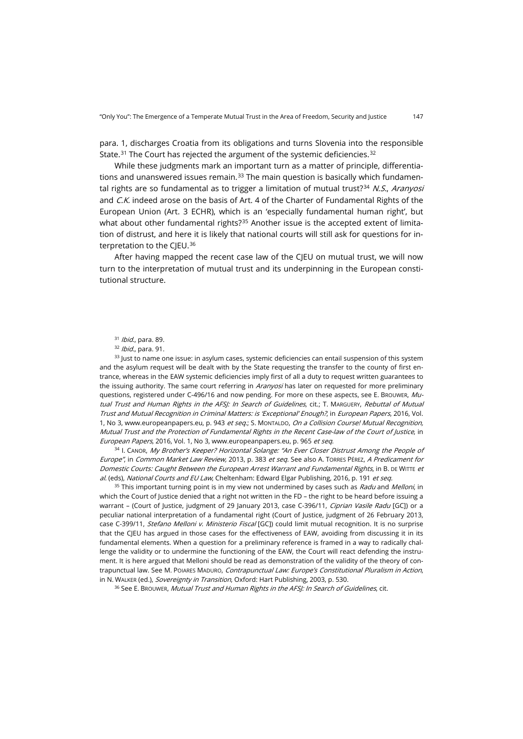para. 1, discharges Croatia from its obligations and turns Slovenia into the responsible State.<sup>[31](#page-6-0)</sup> The Court has rejected the argument of the systemic deficiencies.<sup>[32](#page-6-1)</sup>

While these judgments mark an important turn as a matter of principle, differentiations and unanswered issues remain. $33$  The main question is basically which fundamen-tal rights are so fundamental as to trigger a limitation of mutual trust?<sup>[34](#page-6-3)</sup> N.S., Aranyosi and C.K. indeed arose on the basis of Art. 4 of the Charter of Fundamental Rights of the European Union (Art. 3 ECHR), which is an 'especially fundamental human right', but what about other fundamental rights? $35$  Another issue is the accepted extent of limitation of distrust, and here it is likely that national courts will still ask for questions for in-terpretation to the CIEU.<sup>[36](#page-6-5)</sup>

After having mapped the recent case law of the CJEU on mutual trust, we will now turn to the interpretation of mutual trust and its underpinning in the European constitutional structure.

<sup>31</sup> Ibid., para. 89.

<sup>32</sup> Ibid., para. 91.

<span id="page-6-2"></span><span id="page-6-1"></span><span id="page-6-0"></span><sup>33</sup> Just to name one issue: in asylum cases, systemic deficiencies can entail suspension of this system and the asylum request will be dealt with by the State requesting the transfer to the county of first entrance, whereas in the EAW systemic deficiencies imply first of all a duty to request written guarantees to the issuing authority. The same court referring in Aranyosi has later on requested for more preliminary questions, registered under C-496/16 and now pending. For more on these aspects, see E. BROUWER, Mutual Trust and Human Rights in the AFSJ: In Search of Guidelines, cit.; T. MARGUERY, Rebuttal of Mutual Trust and Mutual Recognition in Criminal Matters: is 'Exceptional' Enough?, in European Papers, 2016, Vol. 1, No 3[, www.europeanpapers.eu,](http://www.europeanpapers.eu/en/e-journal/rebuttal-of-mutual-trust-and-mutual-recognition-in-criminal-matters) p. 943 et seq.; S. MONTALDO, On a Collision Course! Mutual Recognition, Mutual Trust and the Protection of Fundamental Rights in the Recent Case-law of the Court of Justice, in European Papers, 2016, Vol. 1, No 3[, www.europeanpapers.eu,](http://www.europeanpapers.eu/en/e-journal/on-a-collision-course-mutual-recognition-mutual-trust-and-the-protection-fundamental-rights) p. 965 et seq.

<span id="page-6-3"></span>34 I. CANOR, My Brother's Keeper? Horizontal Solange: "An Ever Closer Distrust Among the People of Europe", in Common Market Law Review, 2013, p. 383 et seq. See also A. TORRES PÉREZ, A Predicament for Domestic Courts: Caught Between the European Arrest Warrant and Fundamental Rights, in B. DE WITTE et al. (eds), [National Courts and EU Law](https://www.elgaronline.com/view/9781783479894.xml), Cheltenham: Edward Elgar Publishing, 2016, p. 191 et seq.

<span id="page-6-4"></span> $35$  This important turning point is in my view not undermined by cases such as Radu and Melloni, in which the Court of Justice denied that a right not written in the FD – the right to be heard before issuing a warrant - (Court of Justice, judgment of 29 January 2013, case C-396/11, Ciprian Vasile Radu [GC]) or a peculiar national interpretation of a fundamental right (Court of Justice, judgment of 26 February 2013, case C-399/11, Stefano Melloni v. Ministerio Fiscal [GC]) could limit mutual recognition. It is no surprise that the CJEU has argued in those cases for the effectiveness of EAW, avoiding from discussing it in its fundamental elements. When a question for a preliminary reference is framed in a way to radically challenge the validity or to undermine the functioning of the EAW, the Court will react defending the instrument. It is here argued that Melloni should be read as demonstration of the validity of the theory of contrapunctual law. See M. POIARES MADURO, Contrapunctual Law: Europe's Constitutional Pluralism in Action, in N. WALKER (ed.), Sovereignty in Transition, Oxford: Hart Publishing, 2003, p. 530.

<span id="page-6-5"></span><sup>36</sup> See E. Brouwer, *Mutual Trust and Human Rights in the AFSJ: In Search of Guidelines*, cit.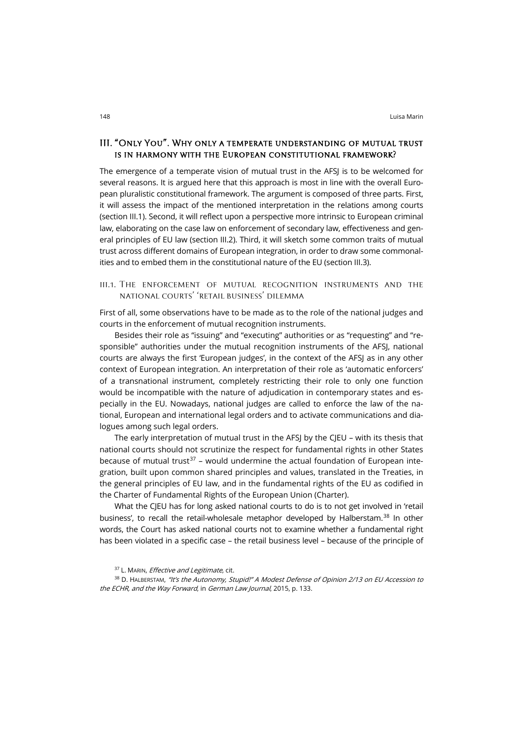## III. "Only You". Why only a temperate understanding of mutual trust is in harmony with the European constitutional framework?

The emergence of a temperate vision of mutual trust in the AFSJ is to be welcomed for several reasons. It is argued here that this approach is most in line with the overall European pluralistic constitutional framework. The argument is composed of three parts. First, it will assess the impact of the mentioned interpretation in the relations among courts (section III.1). Second, it will reflect upon a perspective more intrinsic to European criminal law, elaborating on the case law on enforcement of secondary law, effectiveness and general principles of EU law (section III.2). Third, it will sketch some common traits of mutual trust across different domains of European integration, in order to draw some commonalities and to embed them in the constitutional nature of the EU (section III.3).

### iii.1. The enforcement of mutual recognition instruments and the national courts' 'retail business' dilemma

First of all, some observations have to be made as to the role of the national judges and courts in the enforcement of mutual recognition instruments.

Besides their role as "issuing" and "executing" authorities or as "requesting" and "responsible" authorities under the mutual recognition instruments of the AFSJ, national courts are always the first 'European judges', in the context of the AFSJ as in any other context of European integration. An interpretation of their role as 'automatic enforcers' of a transnational instrument, completely restricting their role to only one function would be incompatible with the nature of adjudication in contemporary states and especially in the EU. Nowadays, national judges are called to enforce the law of the national, European and international legal orders and to activate communications and dialogues among such legal orders.

The early interpretation of mutual trust in the AFSJ by the CJEU – with its thesis that national courts should not scrutinize the respect for fundamental rights in other States because of mutual trust<sup>[37](#page-7-0)</sup> – would undermine the actual foundation of European integration, built upon common shared principles and values, translated in the Treaties, in the general principles of EU law, and in the fundamental rights of the EU as codified in the Charter of Fundamental Rights of the European Union (Charter).

What the CJEU has for long asked national courts to do is to not get involved in 'retail business', to recall the retail-wholesale metaphor developed by Halberstam.<sup>[38](#page-7-1)</sup> In other words, the Court has asked national courts not to examine whether a fundamental right has been violated in a specific case – the retail business level – because of the principle of

<sup>37</sup> L. MARIN, *Effective and Legitimate*, cit.

<span id="page-7-1"></span><span id="page-7-0"></span><sup>38</sup> D. HALBERSTAM, "It's the Autonomy, Stupid!" A Modest Defense of Opinion 2/13 on EU Accession to the ECHR, and the Way Forward, in German Law Journal, 2015, p. 133.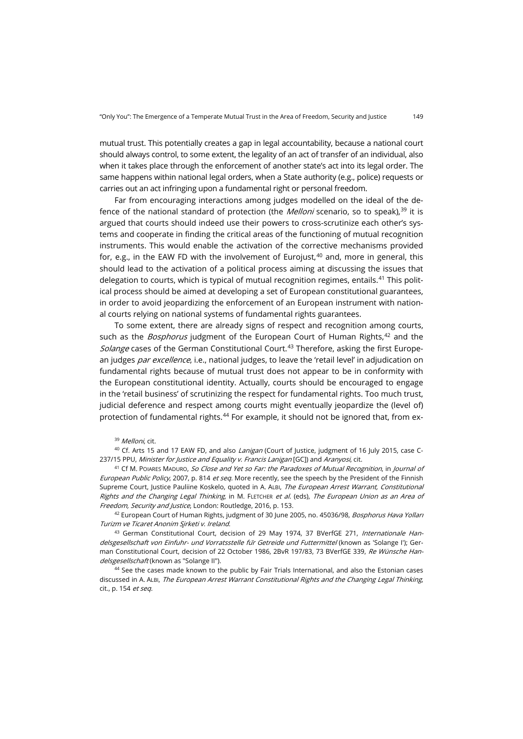mutual trust. This potentially creates a gap in legal accountability, because a national court should always control, to some extent, the legality of an act of transfer of an individual, also when it takes place through the enforcement of another state's act into its legal order. The same happens within national legal orders, when a State authority (e.g., police) requests or carries out an act infringing upon a fundamental right or personal freedom.

Far from encouraging interactions among judges modelled on the ideal of the defence of the national standard of protection (the *Melloni* scenario, so to speak), $^{\rm 39}$  $^{\rm 39}$  $^{\rm 39}$  it is argued that courts should indeed use their powers to cross-scrutinize each other's systems and cooperate in finding the critical areas of the functioning of mutual recognition instruments. This would enable the activation of the corrective mechanisms provided for, e.g., in the EAW FD with the involvement of Eurojust, $40$  and, more in general, this should lead to the activation of a political process aiming at discussing the issues that delegation to courts, which is typical of mutual recognition regimes, entails.[41](#page-8-2) This political process should be aimed at developing a set of European constitutional guarantees, in order to avoid jeopardizing the enforcement of an European instrument with national courts relying on national systems of fundamental rights guarantees.

To some extent, there are already signs of respect and recognition among courts, such as the *Bosphorus* judgment of the European Court of Human Rights,<sup>[42](#page-8-3)</sup> and the Solange cases of the German Constitutional Court.<sup>[43](#page-8-4)</sup> Therefore, asking the first European judges *par excellence*, i.e., national judges, to leave the 'retail level' in adjudication on fundamental rights because of mutual trust does not appear to be in conformity with the European constitutional identity. Actually, courts should be encouraged to engage in the 'retail business' of scrutinizing the respect for fundamental rights. Too much trust, judicial deference and respect among courts might eventually jeopardize the (level of) protection of fundamental rights.<sup>[44](#page-8-5)</sup> For example, it should not be ignored that, from ex-

<sup>39</sup> Melloni, cit.

<span id="page-8-1"></span><span id="page-8-0"></span><sup>40</sup> Cf. Arts 15 and 17 EAW FD, and also *Lanigan* (Court of Justice, judgment of 16 July 2015, case C-237/15 PPU, Minister for Justice and Equality v. Francis Lanigan [GC]) and Aranyosi, cit.

<span id="page-8-2"></span><sup>41</sup> Cf M. POIARES MADURO, So Close and Yet so Far: the Paradoxes of Mutual Recognition, in Journal of European Public Policy, 2007, p. 814 et seq. More recently, see the speech by the President of the Finnish Supreme Court, Justice Pauliine Koskelo, quoted in A. ALBI, The European Arrest Warrant, Constitutional Rights and the Changing Legal Thinking, in M. FLETCHER et al. (eds), The European Union as an Area of Freedom, Security and Justice, London: Routledge, 2016, p. 153.

<span id="page-8-3"></span><sup>42</sup> European Court of Human Rights, judgment of 30 June 2005, no. 45036/98, *Bosphorus Hava Yollari* Turizm ve Ticaret Anonim S*̧*irketi v. Ireland.

<span id="page-8-4"></span><sup>43</sup> German Constitutional Court, decision of 29 May 1974, 37 BVerfGE 271, Internationale Handelsgesellschaft von Einfuhr- und Vorratsstelle fu*̈*r Getreide und Futtermittel (known as 'Solange I'); German Constitutional Court, decision of 22 October 1986, 2BvR 197/83, 73 BVerfGE 339, Re Wünsche Handelsgesellschaft (known as "Solange II").

<span id="page-8-5"></span><sup>44</sup> See the cases made known to the public by Fair Trials International, and also the Estonian cases discussed in A. ALBI, The European Arrest Warrant Constitutional Rights and the Changing Legal Thinking, cit., p. 154 et seq.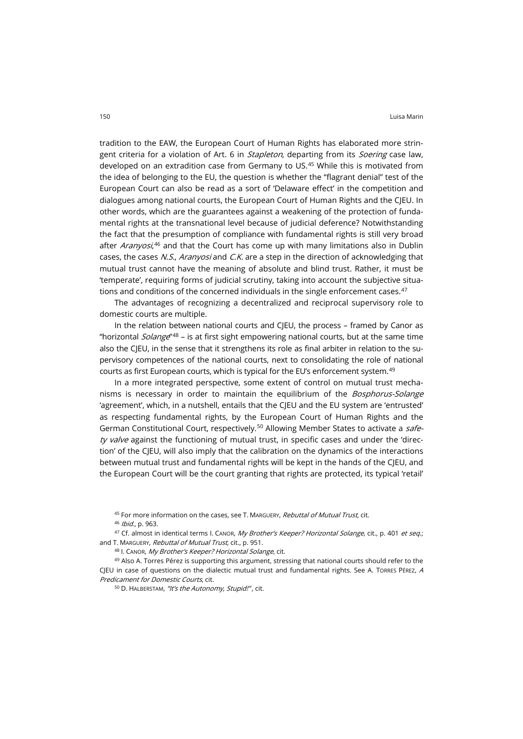tradition to the EAW, the European Court of Human Rights has elaborated more stringent criteria for a violation of Art. 6 in *Stapleton*, departing from its *Soering* case law, developed on an extradition case from Germany to US.[45](#page-9-0) While this is motivated from the idea of belonging to the EU, the question is whether the "flagrant denial" test of the European Court can also be read as a sort of 'Delaware effect' in the competition and dialogues among national courts, the European Court of Human Rights and the CJEU. In other words, which are the guarantees against a weakening of the protection of fundamental rights at the transnational level because of judicial deference? Notwithstanding the fact that the presumption of compliance with fundamental rights is still very broad after *Aranyosi*,<sup>[46](#page-9-1)</sup> and that the Court has come up with many limitations also in Dublin cases, the cases N.S., Aranyosi and C.K. are a step in the direction of acknowledging that mutual trust cannot have the meaning of absolute and blind trust. Rather, it must be 'temperate', requiring forms of judicial scrutiny, taking into account the subjective situa-tions and conditions of the concerned individuals in the single enforcement cases.<sup>[47](#page-9-2)</sup>

The advantages of recognizing a decentralized and reciprocal supervisory role to domestic courts are multiple.

In the relation between national courts and CJEU, the process – framed by Canor as "horizontal *Solange*"<sup>[48](#page-9-3)</sup> – is at first sight empowering national courts, but at the same time also the CJEU, in the sense that it strengthens its role as final arbiter in relation to the supervisory competences of the national courts, next to consolidating the role of national courts as first European courts, which is typical for the EU's enforcement system.[49](#page-9-4)

In a more integrated perspective, some extent of control on mutual trust mechanisms is necessary in order to maintain the equilibrium of the *Bosphorus-Solange* 'agreement', which, in a nutshell, entails that the CJEU and the EU system are 'entrusted' as respecting fundamental rights, by the European Court of Human Rights and the German Constitutional Court, respectively.<sup>[50](#page-9-5)</sup> Allowing Member States to activate a *safe*ty valve against the functioning of mutual trust, in specific cases and under the 'direction' of the CJEU, will also imply that the calibration on the dynamics of the interactions between mutual trust and fundamental rights will be kept in the hands of the CJEU, and the European Court will be the court granting that rights are protected, its typical 'retail'

45 For more information on the cases, see T. MARGUERY, Rebuttal of Mutual Trust, cit.

<sup>46</sup> Ibid., p. 963.

<span id="page-9-2"></span><span id="page-9-1"></span><span id="page-9-0"></span>47 Cf. almost in identical terms I. CANOR, My Brother's Keeper? Horizontal Solange, cit., p. 401 et seq.; and T. MARGUERY, Rebuttal of Mutual Trust, cit., p. 951.

48 I. CANOR, My Brother's Keeper? Horizontal Solange, cit.

<span id="page-9-5"></span><span id="page-9-4"></span><span id="page-9-3"></span><sup>49</sup> Also A. Torres Pérez is supporting this argument, stressing that national courts should refer to the CJEU in case of questions on the dialectic mutual trust and fundamental rights. See A. TORRES PÉREZ, A Predicament for Domestic Courts, cit.

50 D. HALBERSTAM, "It's the Autonomy, Stupid!", cit.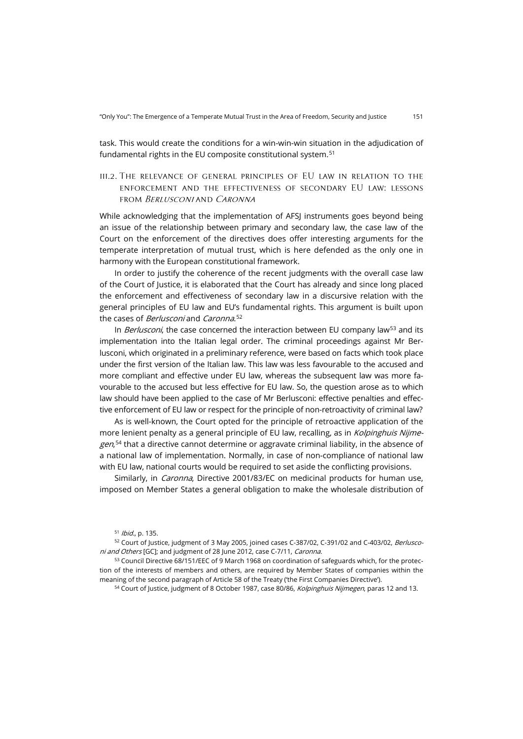task. This would create the conditions for a win-win-win situation in the adjudication of fundamental rights in the EU composite constitutional system.<sup>[51](#page-10-0)</sup>

iii.2. The relevance of general principles of EU law in relation to the enforcement and the effectiveness of secondary EU law: lessons from Berlusconi and Caronna

While acknowledging that the implementation of AFSJ instruments goes beyond being an issue of the relationship between primary and secondary law, the case law of the Court on the enforcement of the directives does offer interesting arguments for the temperate interpretation of mutual trust, which is here defended as the only one in harmony with the European constitutional framework.

In order to justify the coherence of the recent judgments with the overall case law of the Court of Justice, it is elaborated that the Court has already and since long placed the enforcement and effectiveness of secondary law in a discursive relation with the general principles of EU law and EU's fundamental rights. This argument is built upon the cases of *Berlusconi* and *Caronna*.<sup>[52](#page-10-1)</sup>

In Berlusconi, the case concerned the interaction between EU company law<sup>[53](#page-10-2)</sup> and its implementation into the Italian legal order. The criminal proceedings against Mr Berlusconi, which originated in a preliminary reference, were based on facts which took place under the first version of the Italian law. This law was less favourable to the accused and more compliant and effective under EU law, whereas the subsequent law was more favourable to the accused but less effective for EU law. So, the question arose as to which law should have been applied to the case of Mr Berlusconi: effective penalties and effective enforcement of EU law or respect for the principle of non-retroactivity of criminal law?

As is well-known, the Court opted for the principle of retroactive application of the more lenient penalty as a general principle of EU law, recalling, as in Kolpinghuis Nijme-gen,<sup>[54](#page-10-3)</sup> that a directive cannot determine or aggravate criminal liability, in the absence of a national law of implementation. Normally, in case of non-compliance of national law with EU law, national courts would be required to set aside the conflicting provisions.

Similarly, in *Caronna*, Directive 2001/83/EC on medicinal products for human use, imposed on Member States a general obligation to make the wholesale distribution of

<span id="page-10-3"></span><span id="page-10-2"></span>53 Council Directive 68/151/EEC of 9 March 1968 on coordination of safeguards which, for the protection of the interests of members and others, are required by Member States of companies within the meaning of the second paragraph of Article 58 of the Treaty ('the First Companies Directive').

<sup>54</sup> Court of Justice, judgment of 8 October 1987, case 80/86, Kolpinghuis Nijmegen, paras 12 and 13.

<sup>51</sup> Ibid., p. 135.

<span id="page-10-1"></span><span id="page-10-0"></span><sup>52</sup> Court of Justice, judgment of 3 May 2005, joined cases C-387/02, C-391/02 and C-403/02, Berlusconi and Others [GC]; and judgment of 28 June 2012, case C-7/11, Caronna.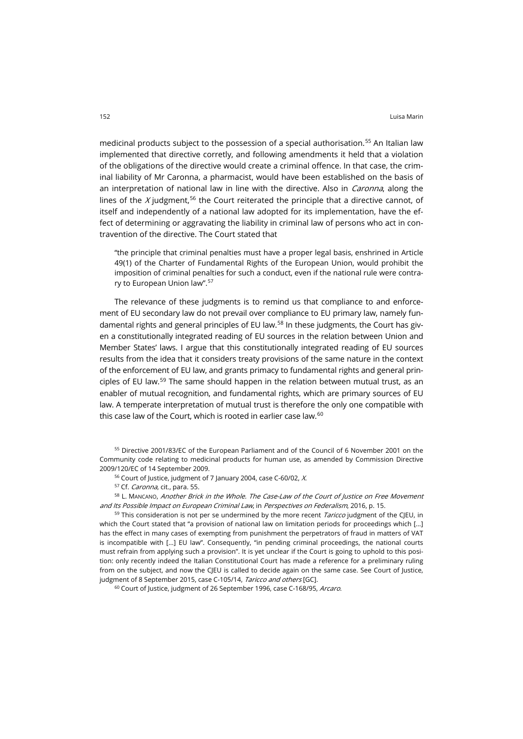medicinal products subject to the possession of a special authorisation.<sup>[55](#page-11-0)</sup> An Italian law implemented that directive corretly, and following amendments it held that a violation of the obligations of the directive would create a criminal offence. In that case, the criminal liability of Mr Caronna, a pharmacist, would have been established on the basis of an interpretation of national law in line with the directive. Also in *Caronna*, along the lines of the  $X$  judgment,<sup>[56](#page-11-1)</sup> the Court reiterated the principle that a directive cannot, of itself and independently of a national law adopted for its implementation, have the effect of determining or aggravating the liability in criminal law of persons who act in contravention of the directive. The Court stated that

"the principle that criminal penalties must have a proper legal basis, enshrined in Article 49(1) of the Charter of Fundamental Rights of the European Union, would prohibit the imposition of criminal penalties for such a conduct, even if the national rule were contrary to European Union law".[57](#page-11-2)

The relevance of these judgments is to remind us that compliance to and enforcement of EU secondary law do not prevail over compliance to EU primary law, namely fun-damental rights and general principles of EU law.<sup>[58](#page-11-3)</sup> In these judgments, the Court has given a constitutionally integrated reading of EU sources in the relation between Union and Member States' laws. I argue that this constitutionally integrated reading of EU sources results from the idea that it considers treaty provisions of the same nature in the context of the enforcement of EU law, and grants primacy to fundamental rights and general principles of EU law.[59](#page-11-4) The same should happen in the relation between mutual trust, as an enabler of mutual recognition, and fundamental rights, which are primary sources of EU law. A temperate interpretation of mutual trust is therefore the only one compatible with this case law of the Court, which is rooted in earlier case law.<sup>[60](#page-11-5)</sup>

<span id="page-11-0"></span><sup>55</sup> Directive 2001/83/EC of the European Parliament and of the Council of 6 November 2001 on the Community code relating to medicinal products for human use, as amended by Commission Directive 2009/120/EC of 14 September 2009.

<sup>56</sup> Court of Justice, judgment of 7 January 2004, case C-60/02, X.

<span id="page-11-3"></span><span id="page-11-2"></span><span id="page-11-1"></span>58 L. MANCANO, Another Brick in the Whole. The Case-Law of the Court of Justice on Free Movement and Its Possible Impact on European Criminal Law, in Perspectives on Federalism, 2016, p. 15.

<span id="page-11-4"></span> $59$  This consideration is not per se undermined by the more recent *Taricco* judgment of the CJEU, in which the Court stated that "a provision of national law on limitation periods for proceedings which [...] has the effect in many cases of exempting from punishment the perpetrators of fraud in matters of VAT is incompatible with […] EU law". Consequently, "in pending criminal proceedings, the national courts must refrain from applying such a provision". It is yet unclear if the Court is going to uphold to this position: only recently indeed the Italian Constitutional Court has made a reference for a preliminary ruling from on the subject, and now the CJEU is called to decide again on the same case. See Court of Justice, judgment of 8 September 2015, case C-105/14, Taricco and others [GC].

<span id="page-11-5"></span><sup>60</sup> Court of Justice, judgment of 26 September 1996, case C-168/95, Arcaro.

<sup>57</sup> Cf. Caronna, cit., para. 55.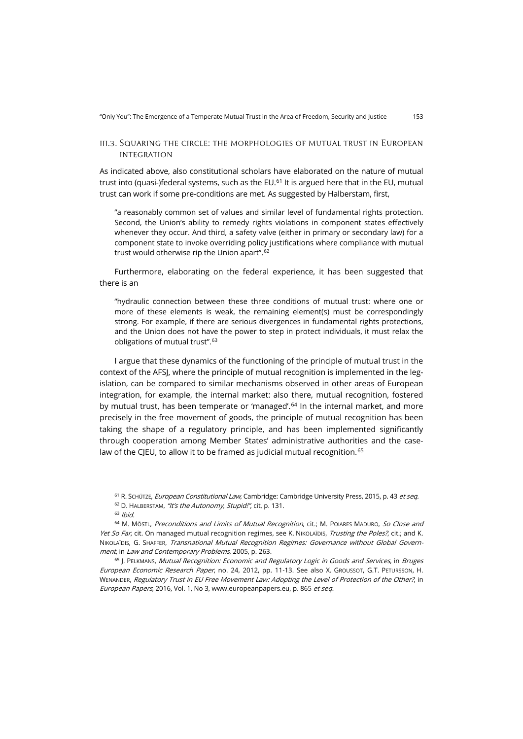#### iii.3. Squaring the circle: the morphologies of mutual trust in European integration

As indicated above, also constitutional scholars have elaborated on the nature of mutual trust into (quasi-)federal systems, such as the  $EU$ .<sup>[61](#page-12-0)</sup> It is argued here that in the EU, mutual trust can work if some pre-conditions are met. As suggested by Halberstam, first,

"a reasonably common set of values and similar level of fundamental rights protection. Second, the Union's ability to remedy rights violations in component states effectively whenever they occur. And third, a safety valve (either in primary or secondary law) for a component state to invoke overriding policy justifications where compliance with mutual trust would otherwise rip the Union apart".[62](#page-12-1)

Furthermore, elaborating on the federal experience, it has been suggested that there is an

"hydraulic connection between these three conditions of mutual trust: where one or more of these elements is weak, the remaining element(s) must be correspondingly strong. For example, if there are serious divergences in fundamental rights protections, and the Union does not have the power to step in protect individuals, it must relax the obligations of mutual trust". [63](#page-12-2)

I argue that these dynamics of the functioning of the principle of mutual trust in the context of the AFSJ, where the principle of mutual recognition is implemented in the legislation, can be compared to similar mechanisms observed in other areas of European integration, for example, the internal market: also there, mutual recognition, fostered by mutual trust, has been temperate or 'managed'.<sup>[64](#page-12-3)</sup> In the internal market, and more precisely in the free movement of goods, the principle of mutual recognition has been taking the shape of a regulatory principle, and has been implemented significantly through cooperation among Member States' administrative authorities and the case-law of the CJEU, to allow it to be framed as judicial mutual recognition.<sup>[65](#page-12-4)</sup>

<sup>61</sup> R. SCHÜTZE, European Constitutional Law, Cambridge: Cambridge University Press, 2015, p. 43 et seg. 62 D. HALBERSTAM, "It's the Autonomy, Stupid!", cit, p. 131.

<span id="page-12-3"></span><span id="page-12-2"></span><span id="page-12-1"></span><span id="page-12-0"></span><sup>64</sup> M. MÖSTL, Preconditions and Limits of Mutual Recognition, cit.; M. POIARES MADURO, So Close and Yet So Far, cit. On managed mutual recognition regimes, see K. NIKOLAÏDIS, Trusting the Poles?, cit.; and K. NIKOLAÏDIS, G. SHAFFER, Transnational Mutual Recognition Regimes: Governance without Global Government, in Law and Contemporary Problems, 2005, p. 263.

<span id="page-12-4"></span><sup>65</sup> J. PELKMANS, Mutual Recognition: Economic and Regulatory Logic in Goods and Services, in Bruges European Economic Research Paper, no. 24, 2012, pp. 11-13. See also X. GROUSSOT, G.T. PETURSSON, H. WENANDER, Regulatory Trust in EU Free Movement Law: Adopting the Level of Protection of the Other?, in European Papers, 2016, Vol. 1, No 3, [www.europeanpapers.eu,](http://www.europeanpapers.eu/en/e-journal/regulatory-trust-eu-free-movement-law-adopting-the-level-of-protection-of-the-other) p. 865 et seq.

 $63$  Ibid.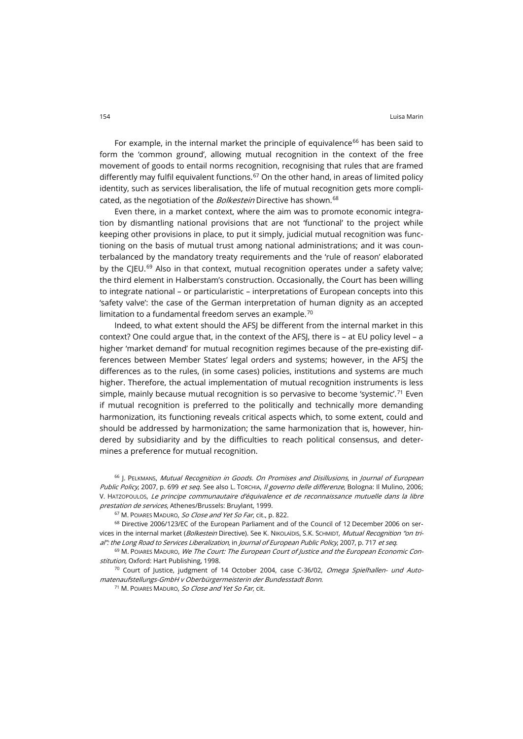For example, in the internal market the principle of equivalence<sup>[66](#page-13-0)</sup> has been said to form the 'common ground', allowing mutual recognition in the context of the free movement of goods to entail norms recognition, recognising that rules that are framed differently may fulfil equivalent functions.<sup>[67](#page-13-1)</sup> On the other hand, in areas of limited policy identity, such as services liberalisation, the life of mutual recognition gets more compli-cated, as the negotiation of the Bolkestein Directive has shown.<sup>[68](#page-13-2)</sup>

Even there, in a market context, where the aim was to promote economic integration by dismantling national provisions that are not 'functional' to the project while keeping other provisions in place, to put it simply, judicial mutual recognition was functioning on the basis of mutual trust among national administrations; and it was counterbalanced by the mandatory treaty requirements and the 'rule of reason' elaborated by the CJEU.<sup>[69](#page-13-3)</sup> Also in that context, mutual recognition operates under a safety valve; the third element in Halberstam's construction. Occasionally, the Court has been willing to integrate national – or particularistic – interpretations of European concepts into this 'safety valve': the case of the German interpretation of human dignity as an accepted limitation to a fundamental freedom serves an example.<sup>[70](#page-13-4)</sup>

Indeed, to what extent should the AFSJ be different from the internal market in this context? One could argue that, in the context of the AFSJ, there is – at EU policy level – a higher 'market demand' for mutual recognition regimes because of the pre-existing differences between Member States' legal orders and systems; however, in the AFSJ the differences as to the rules, (in some cases) policies, institutions and systems are much higher. Therefore, the actual implementation of mutual recognition instruments is less simple, mainly because mutual recognition is so pervasive to become 'systemic'.<sup>[71](#page-13-5)</sup> Even if mutual recognition is preferred to the politically and technically more demanding harmonization, its functioning reveals critical aspects which, to some extent, could and should be addressed by harmonization; the same harmonization that is, however, hindered by subsidiarity and by the difficulties to reach political consensus, and determines a preference for mutual recognition.

<span id="page-13-0"></span>66 J. PELKMANS, Mutual Recognition in Goods. On Promises and Disillusions, in Journal of European Public Policy, 2007, p. 699 et seq. See also L. TORCHIA, Il governo delle differenze, Bologna: Il Mulino, 2006; V. HATZOPOULOS, Le principe communautaire d'équivalence et de reconnaissance mutuelle dans la libre prestation de services, Athenes/Brussels: Bruylant, 1999.

<sup>67</sup> M. POIARES MADURO, So Close and Yet So Far, cit., p. 822.

<span id="page-13-2"></span><span id="page-13-1"></span><sup>68</sup> Directive 2006/123/EC of the European Parliament and of the Council of 12 December 2006 on services in the internal market (Bolkestein Directive). See K. NIKOLAÏDIS, S.K. SCHMIDT, Mutual Recognition "on trial": the Long Road to Services Liberalization, in Journal of European Public Policy, 2007, p. 717 et seq.

<span id="page-13-3"></span><sup>69</sup> M. POIARES MADURO, *We The Court: The European Court of Justice and the European Economic Con*stitution, Oxford: Hart Publishing, 1998.

<span id="page-13-5"></span><span id="page-13-4"></span> $70$  Court of Justice, judgment of 14 October 2004, case C-36/02, Omega Spielhallen- und Automatenaufstellungs-GmbH v Oberbürgermeisterin der Bundesstadt Bonn.

<sup>71</sup> M. POIARES MADURO, So Close and Yet So Far, cit.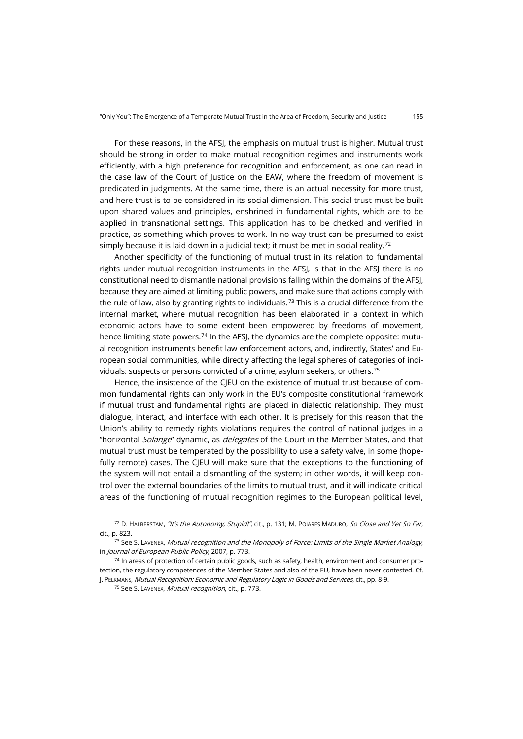For these reasons, in the AFSJ, the emphasis on mutual trust is higher. Mutual trust should be strong in order to make mutual recognition regimes and instruments work efficiently, with a high preference for recognition and enforcement, as one can read in the case law of the Court of Justice on the EAW, where the freedom of movement is predicated in judgments. At the same time, there is an actual necessity for more trust, and here trust is to be considered in its social dimension. This social trust must be built upon shared values and principles, enshrined in fundamental rights, which are to be applied in transnational settings. This application has to be checked and verified in practice, as something which proves to work. In no way trust can be presumed to exist simply because it is laid down in a judicial text; it must be met in social reality.<sup>[72](#page-14-0)</sup>

Another specificity of the functioning of mutual trust in its relation to fundamental rights under mutual recognition instruments in the AFSJ, is that in the AFSJ there is no constitutional need to dismantle national provisions falling within the domains of the AFSJ, because they are aimed at limiting public powers, and make sure that actions comply with the rule of law, also by granting rights to individuals.<sup>[73](#page-14-1)</sup> This is a crucial difference from the internal market, where mutual recognition has been elaborated in a context in which economic actors have to some extent been empowered by freedoms of movement, hence limiting state powers.<sup>[74](#page-14-2)</sup> In the AFSJ, the dynamics are the complete opposite: mutual recognition instruments benefit law enforcement actors, and, indirectly, States' and European social communities, while directly affecting the legal spheres of categories of individuals: suspects or persons convicted of a crime, asylum seekers, or others.[75](#page-14-3)

Hence, the insistence of the CJEU on the existence of mutual trust because of common fundamental rights can only work in the EU's composite constitutional framework if mutual trust and fundamental rights are placed in dialectic relationship. They must dialogue, interact, and interface with each other. It is precisely for this reason that the Union's ability to remedy rights violations requires the control of national judges in a "horizontal Solange" dynamic, as delegates of the Court in the Member States, and that mutual trust must be temperated by the possibility to use a safety valve, in some (hopefully remote) cases. The C|EU will make sure that the exceptions to the functioning of the system will not entail a dismantling of the system; in other words, it will keep control over the external boundaries of the limits to mutual trust, and it will indicate critical areas of the functioning of mutual recognition regimes to the European political level,

<span id="page-14-0"></span><sup>72</sup> D. HALBERSTAM, "It's the Autonomy, Stupid!", cit., p. 131; M. POIARES MADURO, So Close and Yet So Far, cit., p. 823.

<span id="page-14-3"></span><span id="page-14-2"></span> $74$  In areas of protection of certain public goods, such as safety, health, environment and consumer protection, the regulatory competences of the Member States and also of the EU, have been never contested. Cf. J. PELKMANS, Mutual Recognition: Economic and Regulatory Logic in Goods and Services, cit., pp. 8-9.

<sup>75</sup> See S. LAVENEX, *Mutual recognition*, cit., p. 773.

<span id="page-14-1"></span><sup>73</sup> See S. LAVENEX, Mutual recognition and the Monopoly of Force: Limits of the Single Market Analogy, in Journal of European Public Policy, 2007, p. 773.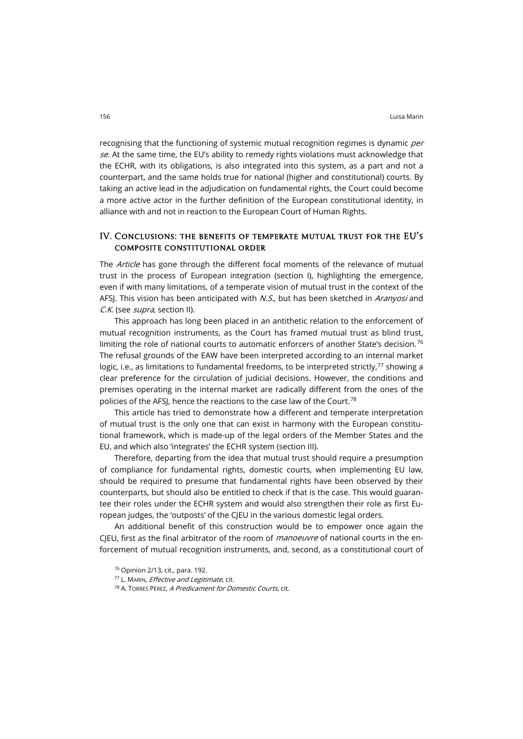recognising that the functioning of systemic mutual recognition regimes is dynamic per se. At the same time, the EU's ability to remedy rights violations must acknowledge that the ECHR, with its obligations, is also integrated into this system, as a part and not a counterpart, and the same holds true for national (higher and constitutional) courts. By taking an active lead in the adjudication on fundamental rights, the Court could become a more active actor in the further definition of the European constitutional identity, in alliance with and not in reaction to the European Court of Human Rights.

### IV. Conclusions: the benefits of temperate mutual trust for the EU's composite constitutional order

The Article has gone through the different focal moments of the relevance of mutual trust in the process of European integration (section I), highlighting the emergence, even if with many limitations, of a temperate vision of mutual trust in the context of the AFSJ. This vision has been anticipated with N.S., but has been sketched in Aranyosi and C.K. (see *supra*, section II).

This approach has long been placed in an antithetic relation to the enforcement of mutual recognition instruments, as the Court has framed mutual trust as blind trust, limiting the role of national courts to automatic enforcers of another State's decision.<sup>[76](#page-15-0)</sup> The refusal grounds of the EAW have been interpreted according to an internal market logic, i.e., as limitations to fundamental freedoms, to be interpreted strictly,  $77$  showing a clear preference for the circulation of judicial decisions. However, the conditions and premises operating in the internal market are radically different from the ones of the policies of the AFSJ, hence the reactions to the case law of the Court.[78](#page-15-2)

This article has tried to demonstrate how a different and temperate interpretation of mutual trust is the only one that can exist in harmony with the European constitutional framework, which is made-up of the legal orders of the Member States and the EU, and which also 'integrates' the ECHR system (section III).

Therefore, departing from the idea that mutual trust should require a presumption of compliance for fundamental rights, domestic courts, when implementing EU law, should be required to presume that fundamental rights have been observed by their counterparts, but should also be entitled to check if that is the case. This would guarantee their roles under the ECHR system and would also strengthen their role as first European judges, the 'outposts' of the CJEU in the various domestic legal orders.

<span id="page-15-1"></span><span id="page-15-0"></span>An additional benefit of this construction would be to empower once again the CJEU, first as the final arbitrator of the room of *manoeuvre* of national courts in the enforcement of mutual recognition instruments, and, second, as a constitutional court of

<sup>76</sup> Opinion 2/13, cit., para. 192.

<sup>77</sup> L. MARIN, *Effective and Legitimate*, cit.

<span id="page-15-2"></span><sup>78</sup> A. TORRES PÉREZ, A Predicament for Domestic Courts, cit.